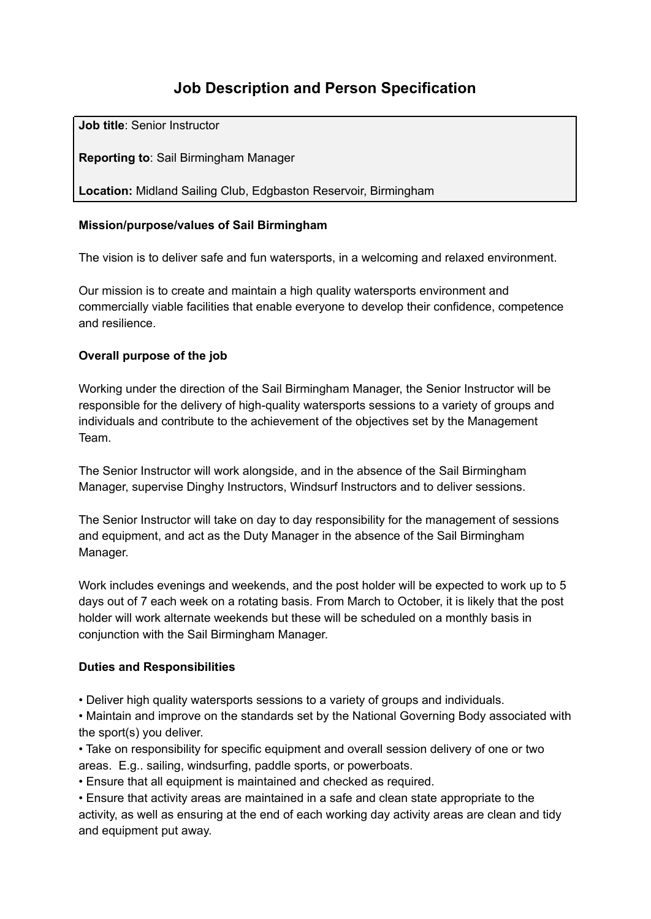# **Job Description and Person Specification**

**Job title**: Senior Instructor

**Reporting to**: Sail Birmingham Manager

**Location:** Midland Sailing Club, Edgbaston Reservoir, Birmingham

#### **Mission/purpose/values of Sail Birmingham**

The vision is to deliver safe and fun watersports, in a welcoming and relaxed environment.

Our mission is to create and maintain a high quality watersports environment and commercially viable facilities that enable everyone to develop their confidence, competence and resilience.

#### **Overall purpose of the job**

Working under the direction of the Sail Birmingham Manager, the Senior Instructor will be responsible for the delivery of high-quality watersports sessions to a variety of groups and individuals and contribute to the achievement of the objectives set by the Management Team.

The Senior Instructor will work alongside, and in the absence of the Sail Birmingham Manager, supervise Dinghy Instructors, Windsurf Instructors and to deliver sessions.

The Senior Instructor will take on day to day responsibility for the management of sessions and equipment, and act as the Duty Manager in the absence of the Sail Birmingham Manager.

Work includes evenings and weekends, and the post holder will be expected to work up to 5 days out of 7 each week on a rotating basis. From March to October, it is likely that the post holder will work alternate weekends but these will be scheduled on a monthly basis in conjunction with the Sail Birmingham Manager.

# **Duties and Responsibilities**

• Deliver high quality watersports sessions to a variety of groups and individuals.

• Maintain and improve on the standards set by the National Governing Body associated with the sport(s) you deliver.

• Take on responsibility for specific equipment and overall session delivery of one or two areas. E.g.. sailing, windsurfing, paddle sports, or powerboats.

• Ensure that all equipment is maintained and checked as required.

• Ensure that activity areas are maintained in a safe and clean state appropriate to the activity, as well as ensuring at the end of each working day activity areas are clean and tidy and equipment put away.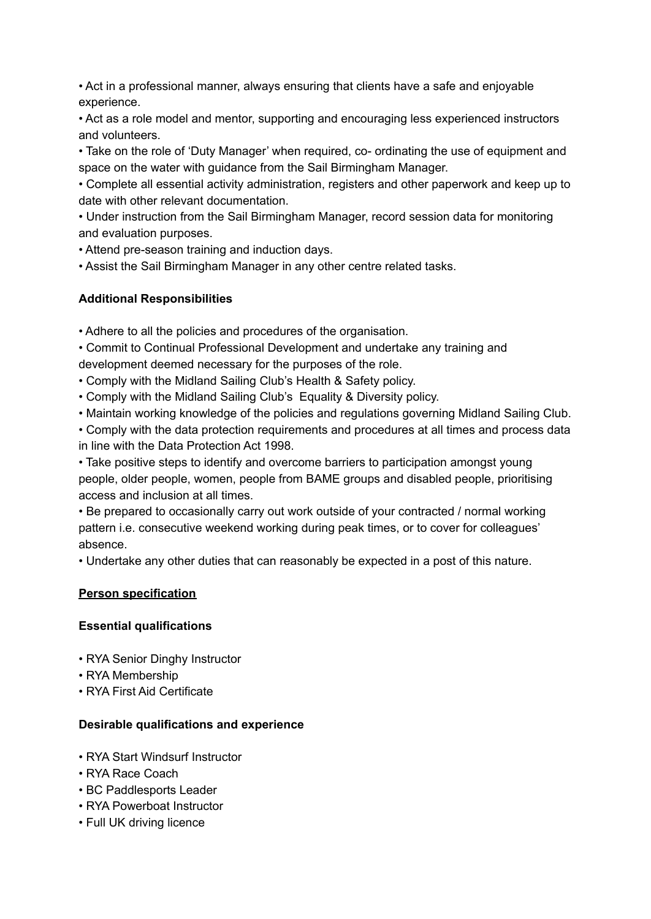• Act in a professional manner, always ensuring that clients have a safe and enjoyable experience.

• Act as a role model and mentor, supporting and encouraging less experienced instructors and volunteers.

• Take on the role of 'Duty Manager' when required, co- ordinating the use of equipment and space on the water with guidance from the Sail Birmingham Manager.

• Complete all essential activity administration, registers and other paperwork and keep up to date with other relevant documentation.

• Under instruction from the Sail Birmingham Manager, record session data for monitoring and evaluation purposes.

• Attend pre-season training and induction days.

• Assist the Sail Birmingham Manager in any other centre related tasks.

# **Additional Responsibilities**

• Adhere to all the policies and procedures of the organisation.

• Commit to Continual Professional Development and undertake any training and development deemed necessary for the purposes of the role.

• Comply with the Midland Sailing Club's Health & Safety policy.

• Comply with the Midland Sailing Club's Equality & Diversity policy.

• Maintain working knowledge of the policies and regulations governing Midland Sailing Club.

• Comply with the data protection requirements and procedures at all times and process data in line with the Data Protection Act 1998.

• Take positive steps to identify and overcome barriers to participation amongst young people, older people, women, people from BAME groups and disabled people, prioritising access and inclusion at all times.

• Be prepared to occasionally carry out work outside of your contracted / normal working pattern i.e. consecutive weekend working during peak times, or to cover for colleagues' absence.

• Undertake any other duties that can reasonably be expected in a post of this nature.

# **Person specification**

# **Essential qualifications**

- RYA Senior Dinghy Instructor
- RYA Membership
- RYA First Aid Certificate

# **Desirable qualifications and experience**

- RYA Start Windsurf Instructor
- RYA Race Coach
- BC Paddlesports Leader
- RYA Powerboat Instructor
- Full UK driving licence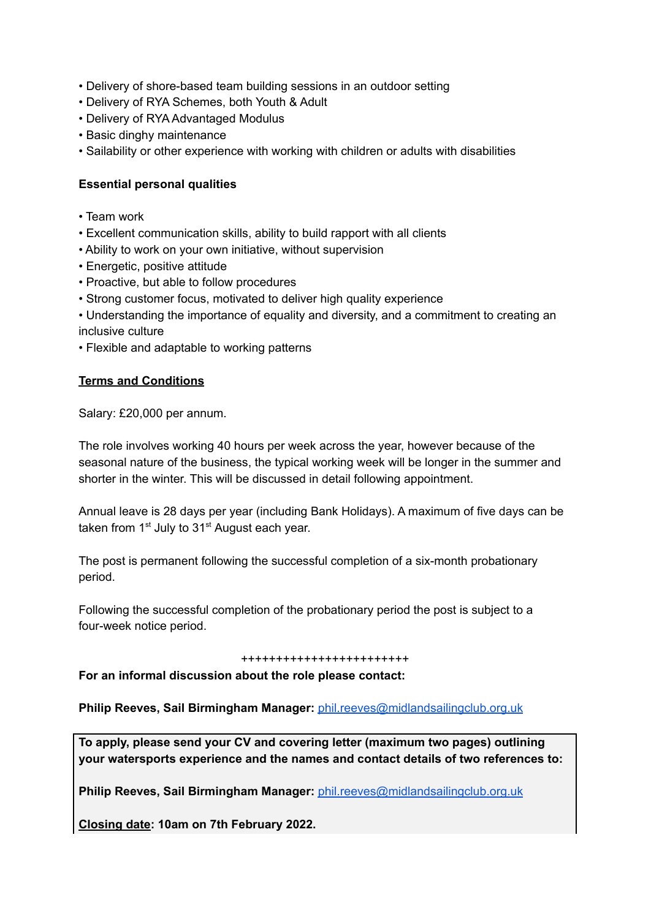- Delivery of shore-based team building sessions in an outdoor setting
- Delivery of RYA Schemes, both Youth & Adult
- Delivery of RYA Advantaged Modulus
- Basic dinghy maintenance
- Sailability or other experience with working with children or adults with disabilities

#### **Essential personal qualities**

- Team work
- Excellent communication skills, ability to build rapport with all clients
- Ability to work on your own initiative, without supervision
- Energetic, positive attitude
- Proactive, but able to follow procedures
- Strong customer focus, motivated to deliver high quality experience
- Understanding the importance of equality and diversity, and a commitment to creating an inclusive culture
- Flexible and adaptable to working patterns

#### **Terms and Conditions**

Salary: £20,000 per annum.

The role involves working 40 hours per week across the year, however because of the seasonal nature of the business, the typical working week will be longer in the summer and shorter in the winter. This will be discussed in detail following appointment.

Annual leave is 28 days per year (including Bank Holidays). A maximum of five days can be taken from 1<sup>st</sup> July to 31<sup>st</sup> August each year.

The post is permanent following the successful completion of a six-month probationary period.

Following the successful completion of the probationary period the post is subject to a four-week notice period.

#### ++++++++++++++++++++++++

**For an informal discussion about the role please contact:**

**Philip Reeves, Sail Birmingham Manager:** [phil.reeves@midlandsailingclub.org.uk](mailto:phil.reeves@midlandsailingclub.org.uk)

**To apply, please send your CV and covering letter (maximum two pages) outlining your watersports experience and the names and contact details of two references to:**

**Philip Reeves, Sail Birmingham Manager:** [phil.reeves@midlandsailingclub.org.uk](mailto:phil.reeves@midlandsailingclub.org.uk)

**Closing date: 10am on 7th February 2022.**